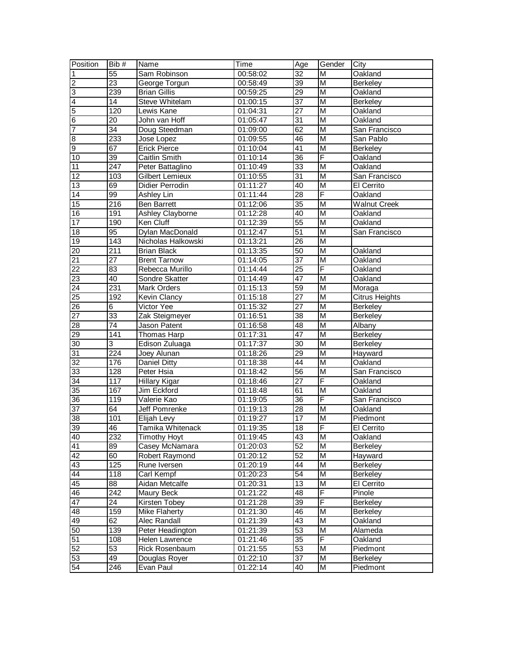| Position        | Bib #            | <b>Name</b>           | Time     | Age             | Gender                  | City                  |
|-----------------|------------------|-----------------------|----------|-----------------|-------------------------|-----------------------|
| $\overline{1}$  | $\overline{55}$  | Sam Robinson          | 00:58:02 | $\overline{32}$ | M                       | Oakland               |
| $\overline{2}$  | $\overline{23}$  | George Torgun         | 00:58:49 | 39              | M                       | <b>Berkeley</b>       |
| မ               | 239              | <b>Brian Gillis</b>   | 00:59:25 | $\overline{29}$ | $\overline{M}$          | Oakland               |
| $\overline{4}$  | 14               | Steve Whitelam        | 01:00:15 | $\overline{37}$ | $\overline{M}$          | <b>Berkeley</b>       |
| $\overline{5}$  | 120              | Lewis Kane            | 01:04:31 | 27              | $\overline{M}$          | Oakland               |
| $6\overline{6}$ | 20               | John van Hoff         | 01:05:47 | 31              | M                       | Oakland               |
| $\overline{7}$  | $\overline{34}$  | Doug Steedman         | 01:09:00 | 62              | $\overline{M}$          | San Francisco         |
| $\overline{8}$  | 233              | Jose Lopez            | 01:09:55 | 46              | M                       | San Pablo             |
| 9               | 67               | <b>Erick Pierce</b>   | 01:10:04 | $\overline{41}$ | M                       | <b>Berkeley</b>       |
| 10              | 39               | Caitlin Smith         | 01:10:14 | $\overline{36}$ | F                       | Oakland               |
| 11              | 247              | Peter Battaglino      | 01:10:49 | $\overline{33}$ | M                       | Oakland               |
| 12              | 103              | Gilbert Lemieux       | 01:10:55 | 31              | M                       | San Francisco         |
| 13              | 69               | Didier Perrodin       | 01:11:27 | 40              | $\overline{\mathsf{M}}$ | El Cerrito            |
| 14              | 99               | Ashley Lin            | 01:11:44 | 28              | F                       | Oakland               |
| 15              | 216              | <b>Ben Barrett</b>    | 01:12:06 | 35              | $\overline{M}$          | <b>Walnut Creek</b>   |
| 16              | 191              | Ashley Clayborne      | 01:12:28 | 40              | $\overline{M}$          | Oakland               |
| 17              | 190              | Ken Cluff             | 01:12:39 | $\overline{55}$ | M                       | Oakland               |
| 18              | $\overline{95}$  | Dylan MacDonald       | 01:12:47 | $\overline{51}$ | $\overline{M}$          | San Francisco         |
| 19              | $\overline{143}$ | Nicholas Halkowski    | 01:13:21 | $\overline{26}$ | M                       |                       |
| $\overline{20}$ | 211              | <b>Brian Black</b>    | 01:13:35 | 50              | M                       | Oakland               |
| $\overline{21}$ | 27               | <b>Brent Tarnow</b>   | 01:14:05 | 37              | M                       | Oakland               |
| $\overline{22}$ | 83               | Rebecca Murillo       | 01:14:44 | $\overline{25}$ | F                       | Oakland               |
| 23              | 40               | Sondre Skatter        | 01:14:49 | 47              | M                       | Oakland               |
| $\overline{24}$ | 231              | <b>Mark Orders</b>    | 01:15:13 | 59              | $\overline{M}$          | Moraga                |
| 25              | 192              | Kevin Clancy          | 01:15:18 | 27              | $\overline{M}$          | <b>Citrus Heights</b> |
| $\overline{26}$ | 6                | Victor Yee            | 01:15:32 | 27              | M                       | <b>Berkeley</b>       |
| 27              | 33               | Zak Steigmeyer        | 01:16:51 | 38              | $\overline{M}$          | Berkeley              |
| $\overline{28}$ | $\overline{74}$  | Jason Patent          | 01:16:58 | 48              | M                       | Albany                |
| 29              | 141              | Thomas Harp           | 01:17:31 | 47              | $\overline{M}$          | <b>Berkeley</b>       |
| 30              | 3                | Edison Zuluaga        | 01:17:37 | 30              | $\overline{M}$          | <b>Berkeley</b>       |
| 31              | 224              | Joey Alunan           | 01:18:26 | $\overline{29}$ | M                       | Hayward               |
| $\overline{32}$ | 176              | Daniel Ditty          | 01:18:38 | 44              | M                       | Oakland               |
| 33              | 128              | Peter Hsia            | 01:18:42 | $\overline{56}$ | M                       | San Francisco         |
| $\overline{34}$ | 117              | Hillary Kigar         | 01:18:46 | $\overline{27}$ | F                       | Oakland               |
| 35              | 167              | Jim Eckford           | 01:18:48 | 61              | M                       | Oakland               |
| 36              | 119              | Valerie Kao           | 01:19:05 | 36              | F                       | San Francisco         |
| 37              | 64               | Jeff Pomrenke         | 01:19:13 | $\overline{28}$ | $\overline{M}$          | Oakland               |
| 38              | 101              | Elijah Levy           | 01:19:27 | 17              | $\overline{M}$          | Piedmont              |
| 39              | 46               | Tamika Whitenack      | 01:19:35 | 18              | F                       | El Cerrito            |
| 40              | 232              | <b>Timothy Hoyt</b>   | 01:19:45 | 43              | M                       | Oakland               |
| $\overline{41}$ | 89               | Casey McNamara        | 01:20:03 | 52              | M                       | Berkeley              |
| 42              | 60               | <b>Robert Raymond</b> | 01:20:12 | 52              | M                       | Hayward               |
| 43              | 125              | Rune Iversen          | 01:20:19 | 44              | M                       | <b>Berkeley</b>       |
| 44              | 118              | Carl Kempf            | 01:20:23 | $\overline{54}$ | M                       | Berkeley              |
| 45              | 88               | Aidan Metcalfe        | 01:20:31 | $\overline{13}$ | M                       | El Cerrito            |
| 46              | 242              | Maury Beck            | 01:21:22 | 48              | F                       | Pinole                |
| 47              | 24               | Kirsten Tobey         | 01:21:28 | 39              | F                       | <b>Berkeley</b>       |
| 48              | 159              | Mike Flaherty         | 01:21:30 | 46              | M                       | <b>Berkeley</b>       |
| 49              | 62               | Alec Randall          | 01:21:39 | 43              | M                       | Oakland               |
| 50              | $\overline{139}$ | Peter Headington      | 01:21:39 | 53              | M                       | Alameda               |
| 51              | 108              | Helen Lawrence        | 01:21:46 | $\overline{35}$ | F                       | Oakland               |
| 52              | 53               | Rick Rosenbaum        | 01:21:55 | 53              | M                       | Piedmont              |
| 53              | 49               | Douglas Royer         | 01:22:10 | $\overline{37}$ | M                       | Berkeley              |
| 54              | $\overline{246}$ | Evan Paul             | 01:22:14 | 40              | M                       | Piedmont              |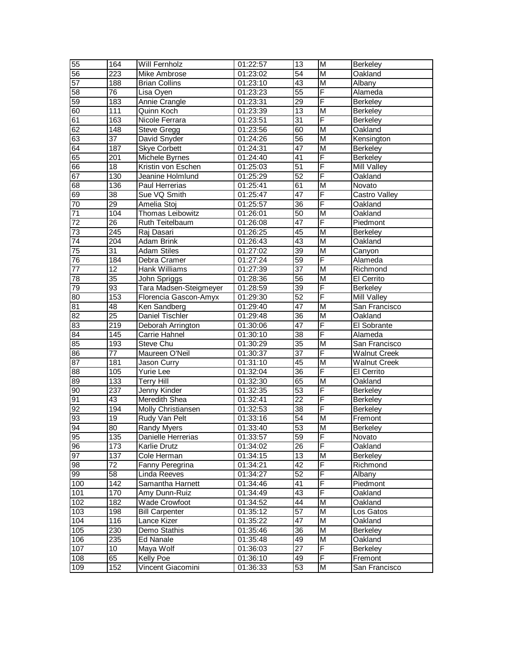| 55              | 164              | Will Fernholz          | 01:22:57 | 13              | M                       | <b>Berkeley</b>     |
|-----------------|------------------|------------------------|----------|-----------------|-------------------------|---------------------|
| 56              | 223              | Mike Ambrose           | 01:23:02 | 54              | M                       | Oakland             |
| 57              | 188              | <b>Brian Collins</b>   | 01:23:10 | 43              | $\overline{M}$          | Albany              |
| 58              | $\overline{76}$  | Lisa Oyen              | 01:23:23 | $\overline{55}$ | F                       | Alameda             |
| 59              | 183              | Annie Crangle          | 01:23:31 | 29              | F                       | <b>Berkeley</b>     |
| 60              | 111              | Quinn Koch             | 01:23:39 | 13              | M                       | <b>Berkeley</b>     |
| 61              | 163              | Nicole Ferrara         | 01:23:51 | 31              | F                       | <b>Berkeley</b>     |
| 62              | 148              | <b>Steve Gregg</b>     | 01:23:56 | 60              | $\overline{M}$          | Oakland             |
| 63              | $\overline{37}$  | David Snyder           | 01:24:26 | $\overline{56}$ | M                       | Kensington          |
| 64              | 187              | <b>Skye Corbett</b>    | 01:24:31 | 47              | M                       | <b>Berkeley</b>     |
| 65              | 201              | Michele Byrnes         | 01:24:40 | $\overline{41}$ | $\overline{\mathsf{F}}$ | <b>Berkeley</b>     |
| 66              | $\overline{18}$  | Kristin von Eschen     | 01:25:03 | $\overline{51}$ | F                       | <b>Mill Valley</b>  |
| 67              | 130              | Jeanine Holmlund       | 01:25:29 | 52              | F                       | Oakland             |
| 68              | 136              | Paul Herrerias         | 01:25:41 | 61              | M                       | Novato              |
| 69              | 38               | Sue VQ Smith           | 01:25:47 | 47              | F                       | Castro Valley       |
| 70              | 29               | Amelia Stoj            | 01:25:57 | 36              | F                       | Oakland             |
| $71$            | 104              | Thomas Leibowitz       | 01:26:01 | 50              | M                       | Oakland             |
| 72              | $\overline{26}$  | Ruth Teitelbaum        | 01:26:08 | 47              | F                       | Piedmont            |
| 73              | 245              | Raj Dasari             | 01:26:25 | 45              | $\overline{M}$          | <b>Berkeley</b>     |
| 74              | 204              | Adam Brink             | 01:26:43 | 43              | M                       | Oakland             |
| 75              | 31               | <b>Adam Stiles</b>     | 01:27:02 | 39              | $\overline{\mathsf{M}}$ | Canyon              |
| 76              | 184              | Debra Cramer           | 01:27:24 | 59              | F                       | Alameda             |
| 77              | 12               | Hank Williams          | 01:27:39 | $\overline{37}$ | M                       | Richmond            |
| $\overline{78}$ | $\overline{35}$  | John Spriggs           | 01:28:36 | $\overline{56}$ | $\overline{\mathsf{M}}$ | El Cerrito          |
| 79              | 93               | Tara Madsen-Steigmeyer | 01:28:59 | 39              | F                       | <b>Berkeley</b>     |
| 80              | 153              | Florencia Gascon-Amyx  | 01:29:30 | 52              | F                       | <b>Mill Valley</b>  |
| 81              | 48               | Ken Sandberg           | 01:29:40 | 47              | $\overline{M}$          | San Francisco       |
| 82              | $\overline{25}$  | Daniel Tischler        | 01:29:48 | 36              | $\overline{M}$          | Oakland             |
| 83              | $\overline{219}$ | Deborah Arrington      | 01:30:06 | 47              | $\overline{F}$          | El Sobrante         |
| 84              | 145              | Carrie Hahnel          | 01:30:10 | 38              | F                       | Alameda             |
| 85              | 193              | Steve Chu              | 01:30:29 | 35              | M                       | San Francisco       |
| 86              | $\overline{77}$  | Maureen O'Neil         | 01:30:37 | $\overline{37}$ | $\overline{F}$          | <b>Walnut Creek</b> |
| 87              | 181              | Jason Curry            | 01:31:10 | 45              | M                       | <b>Walnut Creek</b> |
| 88              | 105              | Yurie Lee              | 01:32:04 | $\overline{36}$ | F                       | El Cerrito          |
| 89              | 133              | <b>Terry Hill</b>      | 01:32:30 | 65              | M                       | Oakland             |
| 90              | 237              | Jenny Kinder           | 01:32:35 | 53              | $\overline{F}$          | <b>Berkeley</b>     |
| 91              | 43               | Meredith Shea          | 01:32:41 | $\overline{22}$ | F                       | Berkeley            |
| 92              | 194              | Molly Christiansen     | 01:32:53 | 38              | F                       | Berkeley            |
| 93              | $\overline{19}$  | Rudy Van Pelt          | 01:33:16 | 54              | $\overline{\mathsf{M}}$ | Fremont             |
| 94              | 80               | <b>Randy Myers</b>     | 01:33:40 | 53              | M                       | <b>Berkeley</b>     |
| 95              | 135              | Danielle Herrerias     | 01:33:57 | 59              | $\overline{F}$          | Novato              |
| 96              | 173              | Karlie Drutz           | 01:34:02 | $\overline{26}$ | F                       | Oakland             |
| 97              | 137              | Cole Herman            | 01:34:15 | $\overline{13}$ | M                       | <b>Berkeley</b>     |
| 98              | 72               | Fanny Peregrina        | 01:34:21 | 42              | F                       | Richmond            |
| 66              | 58               | Linda Reeves           | 01:34:27 | 52              | F                       | Albany              |
| 100             | 142              | Samantha Harnett       | 01:34:46 | 41              | F                       | Piedmont            |
| 101             | 170              | Amy Dunn-Ruiz          | 01:34:49 | 43              | F                       | Oakland             |
| 102             | 182              | <b>Wade Crowfoot</b>   | 01:34:52 | 44              | M                       | Oakland             |
| 103             | 198              | <b>Bill Carpenter</b>  | 01:35:12 | 57              | M                       | Los Gatos           |
| 104             | 116              | Lance Kizer            | 01:35:22 | 47              | M                       | Oakland             |
| 105             | 230              | Demo Stathis           | 01:35:46 | 36              | M                       | Berkeley            |
| 106             | 235              | Ed Nanale              | 01:35:48 | 49              | M                       | Oakland             |
| 107             | 10 <sup>°</sup>  | Maya Wolf              | 01:36:03 | 27              | $\overline{F}$          | Berkeley            |
| 108             | 65               | Kelly Poe              | 01:36:10 | 49              | $\overline{F}$          | Fremont             |
| 109             | 152              | Vincent Giacomini      | 01:36:33 | 53              | M                       | San Francisco       |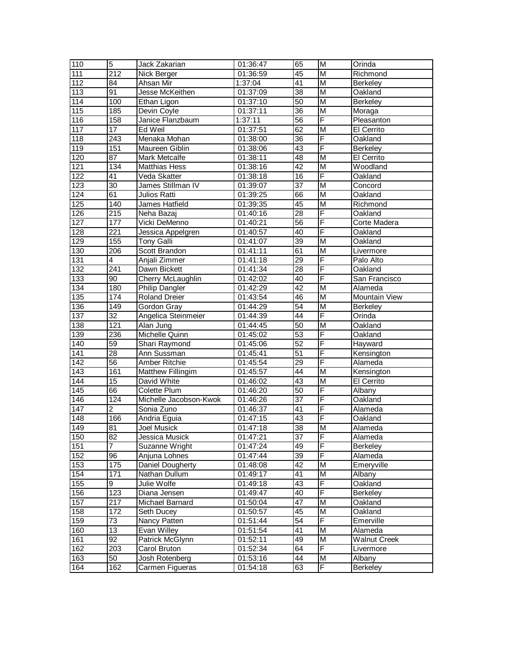| 110              | $\overline{5}$   | Jack Zakarian          | 01:36:47               | 65              | M                       | Orinda               |
|------------------|------------------|------------------------|------------------------|-----------------|-------------------------|----------------------|
| $\overline{111}$ | 212              | Nick Berger            | $\overline{01}$ :36:59 | 45              | M                       | Richmond             |
| 112              | 84               | Ahsan Mir              | 1:37:04                | $\overline{41}$ | $\overline{\mathsf{M}}$ | <b>Berkeley</b>      |
| 113              | 91               | Jesse McKeithen        | 01:37:09               | 38              | $\overline{\mathsf{M}}$ | Oakland              |
| 114              | $\overline{100}$ | Ethan Ligon            | 01:37:10               | 50              | $\overline{\mathsf{M}}$ | <b>Berkeley</b>      |
| 115              | 185              | Devin Coyle            | 01:37:11               | 36              | M                       | Moraga               |
| 116              | 158              | Janice Flanzbaum       | 1:37:11                | 56              | F                       | Pleasanton           |
| 117              | $\overline{17}$  | Ed Weil                | 01:37:51               | 62              | M                       | El Cerrito           |
| $\overline{118}$ | $\overline{243}$ | Menaka Mohan           | 01:38:00               | 36              | F                       | Oakland              |
| 119              | 151              | Maureen Giblin         | 01:38:06               | $\overline{43}$ | F                       | Berkeley             |
| 120              | 87               | Mark Metcalfe          | 01:38:11               | 48              | M                       | El Cerrito           |
| 121              | 134              | <b>Matthias Hess</b>   | 01:38:16               | 42              | M                       | Woodland             |
| 122              | $\overline{41}$  | Veda Skatter           | 01:38:18               | 16              | F                       | Oakland              |
| $\overline{123}$ | 30               | James Stillman IV      | 01:39:07               | $\overline{37}$ | M                       | Concord              |
| 124              | 61               | Julios Ratti           | 01:39:25               | 66              | М                       | Oakland              |
| 125              | 140              | James Hatfield         | 01:39:35               | 45              | M                       | Richmond             |
| 126              | 215              | Neha Bazaj             | 01:40:16               | 28              | F                       | Oakland              |
| $\overline{127}$ | 177              | Vicki DeMenno          | 01:40:21               | $\overline{56}$ | F                       | Corte Madera         |
| 128              | $\overline{221}$ | Jessica Appelgren      | 01:40:57               | 40              | F                       | Oakland              |
| 129              | 155              | <b>Tony Galli</b>      | 01:41:07               | 39              | $\overline{\mathsf{M}}$ | Oakland              |
| 130              | 206              | <b>Scott Brandon</b>   | 01:41:11               | 61              | $\overline{\mathsf{M}}$ | Livermore            |
| 131              | 4                | Anjali Zimmer          | 01:41:18               | 29              | F                       | Palo Alto            |
| 132              | 241              | Dawn Bickett           | 01:41:34               | 28              | F                       | Oakland              |
| 133              | $\overline{90}$  | Cherry McLaughlin      | 01:42:02               | 40              | F                       | San Francisco        |
| 134              | 180              | <b>Philip Dangler</b>  | 01:42:29               | $\overline{42}$ | $\overline{\mathsf{M}}$ | Alameda              |
| 135              | 174              | <b>Roland Dreier</b>   | 01:43:54               | 46              | $\overline{\mathsf{M}}$ | <b>Mountain View</b> |
| 136              | 149              | Gordon Gray            | 01:44:29               | 54              | $\overline{\mathsf{M}}$ | <b>Berkeley</b>      |
| 137              | $\overline{32}$  | Angelica Steinmeier    | 01:44:39               | 44              | F                       | Orinda               |
| 138              | 121              | Alan Jung              | 01:44:45               | 50              | $\overline{\mathsf{M}}$ | Oakland              |
| 139              | 236              | Michelle Quinn         | 01:45:02               | $\overline{53}$ | F                       | Oakland              |
| 140              | 59               | Shari Raymond          | 01:45:06               | 52              | F                       | Hayward              |
| 141              | $\overline{28}$  | Ann Sussman            | 01:45:41               | $\overline{51}$ | F                       | Kensington           |
| 142              | $\overline{56}$  | Amber Ritchie          | 01:45:54               | 29              | F                       | Alameda              |
| $\overline{143}$ | 161              | Matthew Fillingim      | 01:45:57               | 44              | M                       | Kensington           |
| 144              | 15               | David White            | 01:46:02               | 43              | $\overline{\mathsf{M}}$ | <b>El Cerrito</b>    |
| 145              | 66               | <b>Colette Plum</b>    | 01:46:20               | $\overline{50}$ | F                       | Albany               |
| 146              | 124              | Michelle Jacobson-Kwok | 01:46:26               | 37              | F                       | Oakland              |
| 147              | $\overline{2}$   | Sonia Zuno             | 01:46:37               | 41              | F                       | Alameda              |
| 148              | 166              | Andria Eguia           | 01:47:15               | 43              | F                       | Oakland              |
| 149              | 81               | Joel Musick            | 01:47:18               | $\overline{38}$ | M                       | Alameda              |
| 150              | 82               | Jessica Musick         | 01:47:21               | 37              | F                       | Alameda              |
| 151              | 7                | Suzanne Wright         | 01:47:24               | 49              | F                       | <b>Berkeley</b>      |
| 152              | 96               | Anjuna Lohnes          | 01:47:44               | $\overline{39}$ | F                       | Alameda              |
| 153              | 175              | Daniel Dougherty       | 01:48:08               | 42              | M                       | Emeryville           |
| 154              | 171              | Nathan Dullum          | 01:49:17               | $\overline{41}$ | $\overline{\mathsf{M}}$ | Albany               |
| 155              | $\overline{9}$   | Julie Wolfe            | 01:49:18               | 43              | F                       | Oakland              |
| 156              | 123              | Diana Jensen           | 01:49:47               | 40              | F                       | <b>Berkeley</b>      |
| 157              | 217              | Michael Barnard        | 01:50:04               | 47              | М                       | Oakland              |
| 158              | 172              | Seth Ducev             | 01:50:57               | 45              | М                       | Oakland              |
| 159              | 73               | Nancy Patten           | 01:51:44               | 54              | F                       | Emerville            |
| 160              | $\overline{13}$  | Evan Willey            | 01:51:54               | 41              | M                       | Alameda              |
| 161              | $\overline{92}$  | Patrick McGlynn        | 01:52:11               | 49              | M                       | <b>Walnut Creek</b>  |
| 162              | $\overline{203}$ | Carol Bruton           | 01:52:34               | 64              | F                       | Livermore            |
| 163              | 50               | Josh Rotenberg         | 01:53:16               | $\overline{44}$ | M                       | Albany               |
| 164              | 162              | Carmen Figueras        | 01:54:18               | 63              | F                       | Berkeley             |